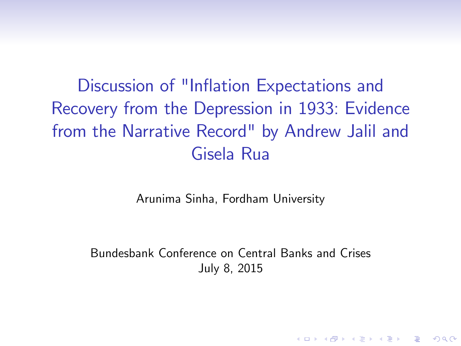Discussion of "Inflation Expectations and Recovery from the Depression in 1933: Evidence from the Narrative Record" by Andrew Jalil and Gisela Rua

Arunima Sinha, Fordham University

Bundesbank Conference on Central Banks and Crises July 8, 2015

**KORKA SERKER ORA**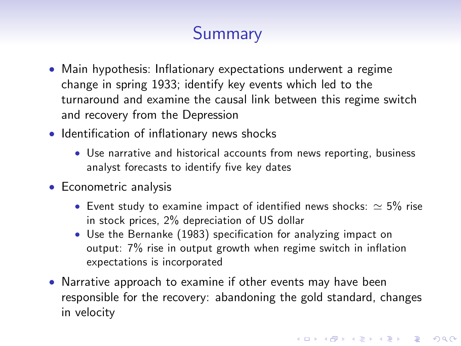# **Summary**

- Main hypothesis: Inflationary expectations underwent a regime change in spring 1933; identify key events which led to the turnaround and examine the causal link between this regime switch and recovery from the Depression
- Identification of inflationary news shocks
	- Use narrative and historical accounts from news reporting, business analyst forecasts to identify five key dates
- Econometric analysis
	- Event study to examine impact of identified news shocks:  $\simeq$  5% rise in stock prices, 2% depreciation of US dollar
	- Use the Bernanke (1983) specification for analyzing impact on output:  $7\%$  rise in output growth when regime switch in inflation expectations is incorporated
- Narrative approach to examine if other events may have been responsible for the recovery: abandoning the gold standard, changes in velocity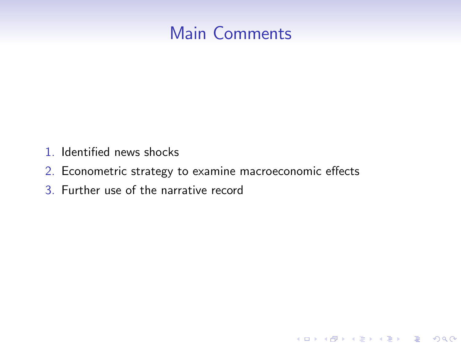

K ロ ▶ K @ ▶ K 할 ▶ K 할 ▶ 이 할 → 9 Q @

- 1. Identified news shocks
- 2. Econometric strategy to examine macroeconomic effects
- 3. Further use of the narrative record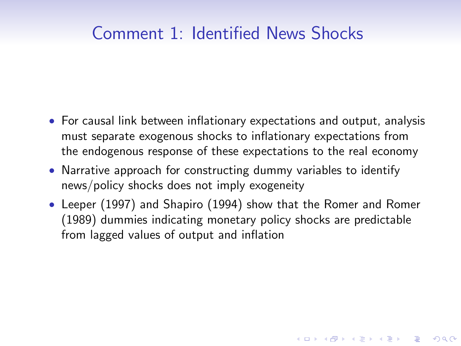- For causal link between inflationary expectations and output, analysis must separate exogenous shocks to inflationary expectations from the endogenous response of these expectations to the real economy
- Narrative approach for constructing dummy variables to identify news/policy shocks does not imply exogeneity
- Leeper (1997) and Shapiro (1994) show that the Romer and Romer (1989) dummies indicating monetary policy shocks are predictable from lagged values of output and inflation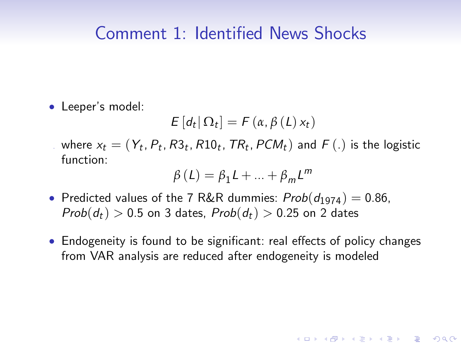• Leeper's model:

$$
E\left[d_t|\,\Omega_t\right] = F\left(\alpha, \beta\left(L\right)x_t\right)
$$

 $\mathbf{x}_t = (Y_t, P_t, R3_t, R10_t, TR_t, PCM_t)$  and  $F(.)$  is the logistic function:

$$
\beta(L) = \beta_1 L + \dots + \beta_m L^m
$$

- Predicted values of the 7 R&R dummies:  $Prob(d_{1974}) = 0.86$ ,  $Prob(d_t) > 0.5$  on 3 dates,  $Prob(d_t) > 0.25$  on 2 dates
- Endogeneity is found to be significant: real effects of policy changes from VAR analysis are reduced after endogeneity is modeled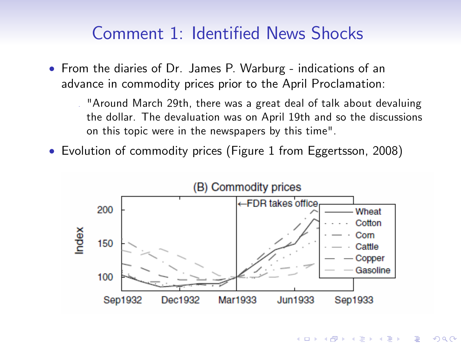- From the diaries of Dr. James P. Warburg indications of an advance in commodity prices prior to the April Proclamation:
	- . "Around March 29th, there was a great deal of talk about devaluing the dollar. The devaluation was on April 19th and so the discussions on this topic were in the newspapers by this time".
- Evolution of commodity prices (Figure 1 from Eggertsson, 2008)



 $\mathbf{E} = \mathbf{A} \oplus \mathbf{A} + \mathbf{A} \oplus \mathbf{A} + \mathbf{A} \oplus \mathbf{A} + \mathbf{A} \oplus \mathbf{A} + \mathbf{A} \oplus \mathbf{A} + \mathbf{A} \oplus \mathbf{A} + \mathbf{A} \oplus \mathbf{A} + \mathbf{A} \oplus \mathbf{A} + \mathbf{A} \oplus \mathbf{A} + \mathbf{A} \oplus \mathbf{A} + \mathbf{A} \oplus \mathbf{A} + \mathbf{A} \oplus \mathbf{A} + \mathbf{A} \oplus \mathbf{A} + \mathbf{A$ 

 $2Q$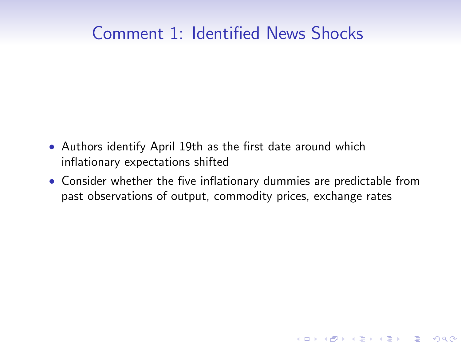- Authors identify April 19th as the first date around which inflationary expectations shifted
- Consider whether the five inflationary dummies are predictable from past observations of output, commodity prices, exchange rates

K ロ ▶ K @ ▶ K 할 > K 할 > 1 할 > 1 이익어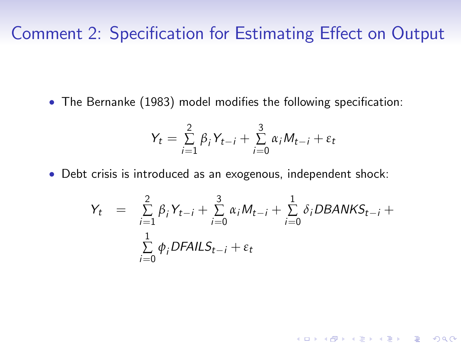• The Bernanke (1983) model modifies the following specification:

$$
Y_t = \sum_{i=1}^2 \beta_i Y_{t-i} + \sum_{i=0}^3 \alpha_i M_{t-i} + \varepsilon_t
$$

Debt crisis is introduced as an exogenous, independent shock:

$$
Y_t = \sum_{i=1}^{2} \beta_i Y_{t-i} + \sum_{i=0}^{3} \alpha_i M_{t-i} + \sum_{i=0}^{1} \delta_i DBANKS_{t-i} + \sum_{i=0}^{1} \phi_i DFAILS_{t-i} + \varepsilon_t
$$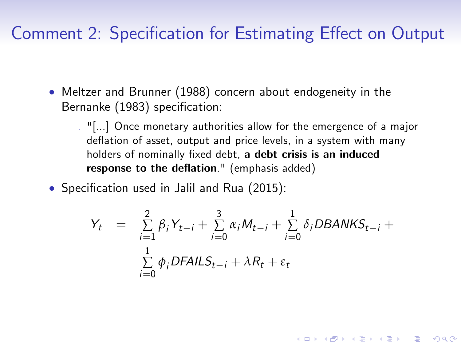- Meltzer and Brunner (1988) concern about endogeneity in the Bernanke (1983) specification:
	- . "[...] Once monetary authorities allow for the emergence of a major deflation of asset, output and price levels, in a system with many holders of nominally fixed debt, a debt crisis is an induced response to the deflation." (emphasis added)
- $\bullet$  Specification used in Jalil and Rua (2015):

$$
Y_t = \sum_{i=1}^{2} \beta_i Y_{t-i} + \sum_{i=0}^{3} \alpha_i M_{t-i} + \sum_{i=0}^{1} \delta_i DBANKS_{t-i} + \sum_{i=0}^{1} \phi_i DFAILS_{t-i} + \lambda R_t + \varepsilon_t
$$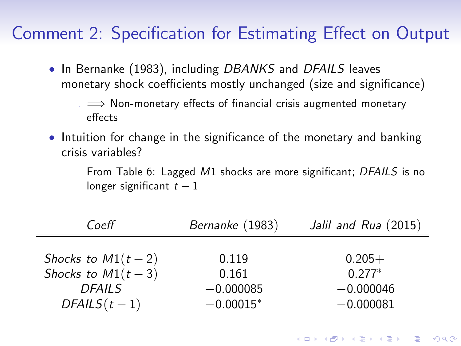• In Bernanke (1983), including DBANKS and DFAILS leaves monetary shock coefficients mostly unchanged (size and significance)

 $\Rightarrow$  Non-monetary effects of financial crisis augmented monetary effects

• Intuition for change in the significance of the monetary and banking crisis variables?

From Table 6: Lagged  $M1$  shocks are more significant; DFAILS is no longer significant  $t - 1$ 

**KORKA SERKER ORA** 

| Coeff               | Bernanke (1983) | Jalil and Rua (2015) |
|---------------------|-----------------|----------------------|
| Shocks to $M1(t-2)$ | 0.119           | $0.205+$             |
| Shocks to $M1(t-3)$ | 0.161           | $0.277*$             |
| <b>DFAILS</b>       | $-0.000085$     | $-0.000046$          |
| $DFAILS(t-1)$       | $-0.00015*$     | $-0.000081$          |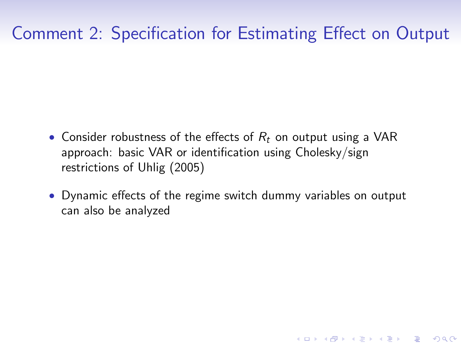- Consider robustness of the effects of  $R_t$  on output using a VAR approach: basic VAR or identification using Cholesky/sign restrictions of Uhlig (2005)
- Dynamic effects of the regime switch dummy variables on output can also be analyzed

**K ロ ▶ K @ ▶ K 할 X X 할 X 및 할 X X Q Q O**